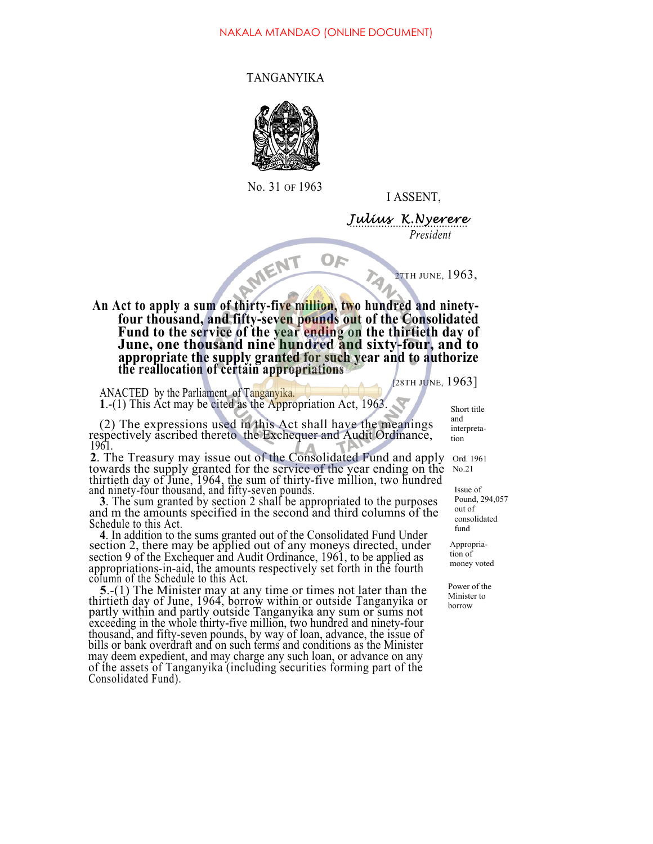OF

## TANGANYIKA



No. 31 OF 1963

I ASSENT,

Julius K.Nyerere *President*

27TH JUNE, 1963,

AMENT **An Act to apply a sum of thirty-five million, two hundred and ninety**four thousand, and fifty-seven pounds out of the Consolidated<br>Fund to the service of the year ending on the thirtieth day of<br>June, one thousand nine hundred and sixty-four, and to<br>appropriate the supply granted for such ye

[28TH JUNE, 1963]

ANACTED by the Parliament of Tanganyika. **1**.-(1) This Act may be cited as the Appropriation Act, 1963.

(2) The expressions used in this Act shall have the meanings respectively ascribed thereto the Exchequer and Audit Ordinance, 1961.<br>2. The Treasury may issue out of the Consolidated Fund and apply

towards the supply granted for the service of the year ending on the thirtieth day of June, 1964, the sum of thirty-five million, two hundred

and ninety-four thousand, and fifty-seven pounds. **<sup>3</sup>**. The sum granted by section 2 shall be appropriated to the purposes and m the amounts specified in the second and third columns of the Schedule to this Act.

**<sup>4</sup>**. In addition to the sums granted out of the Consolidated Fund Under section 2, there may be applied out of any moneys directed, under section 9 of the Exchequer and Audit Ordinance, 1961, to be applied as appropriations-in-aid, the amounts respectively set forth in the fourth column of the Schedule to this Act.

**5**.-(1) The Minister may at any time or times not later than the thirtieth day of June, 1964, borrow within or outside Tanganyika or partly within and partly outside Tanganyika any sum or sums not exceeding in the whole thirty-five million, two hundred and ninety-four thousand, and fifty-seven pounds, by way of loan, advance, the issue of bills or bank overdraft and on such terms and conditions as the Minister may deem expedient, and may charge any such loan, or advance on any of the assets of Tanganyika (including securities forming part of the Consolidated Fund).

Short title and interpretation

Ord. 1961 No.21

Issue of Pound, 294,057 out of consolidated fund

Appropriation of money voted

Power of the Minister to borrow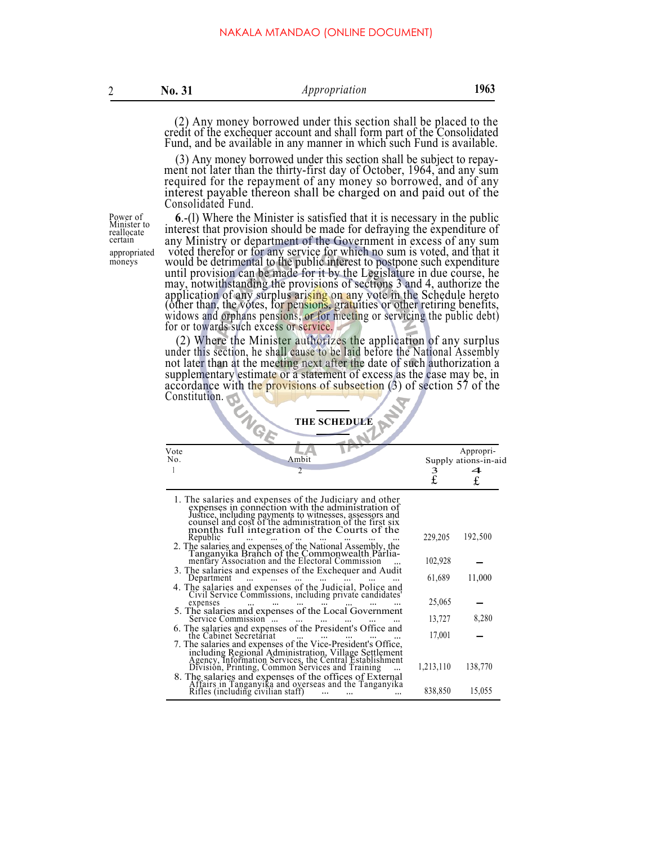(2) Any money borrowed under this section shall be placed to the credit of the exchequer account and shall form part of the Consolidated Fund, and be available in any manner in which such Fund is available.

(3) Any money borrowed under this section shall be subject to repay- ment not later than the thirty-first day of October, 1964, and any sum required for the repayment of any money so borrowed, and of any interest payable thereon shall be charged on and paid out of the Consolidated Fund.

Power of Minister to reallocate certain

**<sup>6</sup>**.-(l) Where the Minister is satisfied that it is necessary in the public interest that provision should be made for defraying the expenditure of any Ministry or department of the Government in excess of any sum appropriated voted therefor or for any service for which no sum is voted, and that it moneys would be detrimental to the public interest to postpone such expenditure until provision can be made for it by the Legislature in due course, he may, notwithstanding the provisions of sections 3 and 4, authorize the application of any surplus arising on any vote in the Schedule hereto (other than, the votes, for pensions, gratuities or other retiring benefits, widows and orphans pensions, or for meeting or servicing the public debt) for or towards such excess or service.

> (2) Where the Minister authorizes the application of any surplus under this section, he shall cause to be laid before the National Assembly not later than at the meeting next after the date of such authorization a supplementary estimate or a statement of excess as the case may be, in accordance with the provisions of subsection (3) of section 57 of the Constitution.

| <b>VG</b><br><b>THE SCHEDULE</b> |                                                                                                                                                                                                                                                                                                |           |                                   |  |  |  |  |
|----------------------------------|------------------------------------------------------------------------------------------------------------------------------------------------------------------------------------------------------------------------------------------------------------------------------------------------|-----------|-----------------------------------|--|--|--|--|
| Vote<br>No.                      | Ambit                                                                                                                                                                                                                                                                                          |           | Appropri-<br>Supply ations-in-aid |  |  |  |  |
|                                  | $\overline{\mathcal{L}}$                                                                                                                                                                                                                                                                       | 3<br>£    | 4<br>£                            |  |  |  |  |
|                                  | 1. The salaries and expenses of the Judiciary and other<br>expenses in connection with the administration of<br>Justice, including payments to witnesses, assessors and<br>counsel and cost of the administration of the first six<br>months full integration of the Courts of the<br>Republic | 229,205   | 192,500                           |  |  |  |  |
|                                  | 2. The salaries and expenses of the National Assembly, the Tanganyika Branch of the Commonwealth Parliamentary Association and the Electoral Commission                                                                                                                                        | 102,928   |                                   |  |  |  |  |
|                                  | 3. The salaries and expenses of the Exchequer and Audit<br>Department<br>4. The salaries and expenses of the Judicial, Police and Civil Service Commissions, including private candidates'                                                                                                     | 61,689    | 11,000                            |  |  |  |  |
|                                  | expenses                                                                                                                                                                                                                                                                                       | 25,065    |                                   |  |  |  |  |
|                                  | 5. The salaries and expenses of the Local Government<br>Service Commission                                                                                                                                                                                                                     | 13,727    | 8,280                             |  |  |  |  |
|                                  | 6. The salaries and expenses of the President's Office and<br>the Cabinet Secretariat<br>7. The salaries and expenses of the Vice-President's Office,                                                                                                                                          | 17,001    |                                   |  |  |  |  |
|                                  | including Regional Administration, Village Settlement<br>Agency, Information Services, the Central Establishment<br>Division, Printing, Common Services and Training                                                                                                                           | 1,213,110 | 138,770                           |  |  |  |  |
|                                  | 8. The salaries and expenses of the offices of External<br>Affairs in Tanganyika and overseas and the Tanganyika<br>Rifles (including civilian staff)                                                                                                                                          | 838,850   | 15,055                            |  |  |  |  |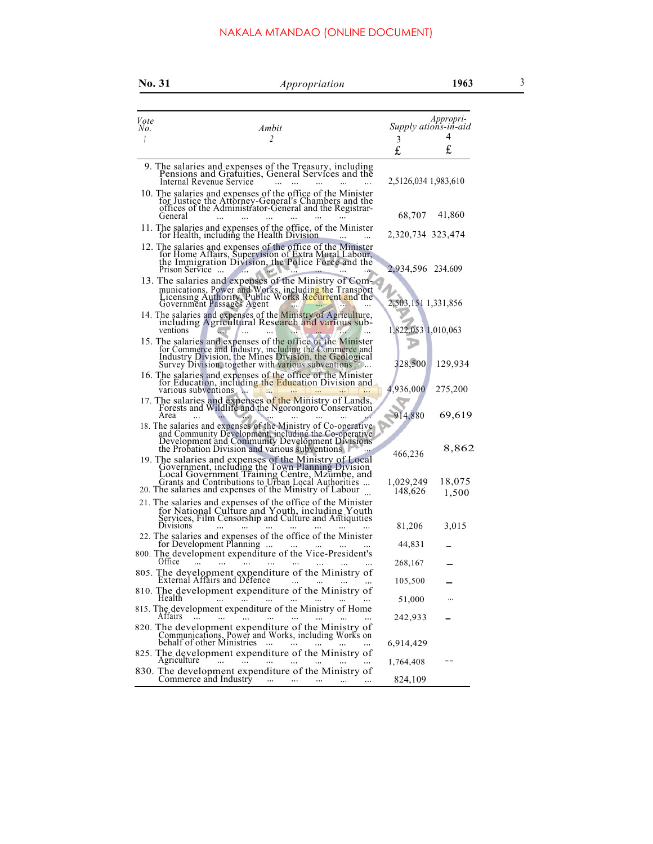## NAKALA MTANDAO (ONLINE DOCUMENT)

|      | <b>No. 31</b>        | Appropriation                                                                                                                                                                                                                       | 1963                 | 3 |
|------|----------------------|-------------------------------------------------------------------------------------------------------------------------------------------------------------------------------------------------------------------------------------|----------------------|---|
| Vote |                      |                                                                                                                                                                                                                                     | Appropri-            |   |
| No.  |                      | Ambit                                                                                                                                                                                                                               | Supply ations-in-aid |   |
|      |                      | $\overline{c}$                                                                                                                                                                                                                      | 4<br>3<br>£<br>£     |   |
|      |                      | 9. The salaries and expenses of the Treasury, including Pensions and Gratuities, General Services and the<br>Internal Revenue Service                                                                                               | 2,5126,034 1,983,610 |   |
|      | General              | 10. The salaries and expenses of the office of the Minister<br>for Justice the Attorney-General's Chambers and the<br>offices of the Administrator-General and the Registrar-                                                       | 41,860<br>68,707     |   |
|      |                      | 11. The salaries and expenses of the office, of the Minister<br>for Health, including the Health Division                                                                                                                           | 2,320,734 323,474    |   |
|      | Prison Service       | 12. The salaries and expenses of the office of the Minister<br>for Home Affairs, Supervision of Extra Mural Labour,<br>the Immigration Division, the Police Force and the                                                           | 2,934,596 234.609    |   |
|      |                      | 13. The salaries and expenses of the Ministry of Com-<br>munications, Power and Works, including the Transport<br>Licensing Authority, Public Works Recurrent and the Government Passages Agent                                     | 2,503,151 1,331,856  |   |
|      | ventions             | 14. The salaries and expenses of the Ministry of Agriculture,<br>including Agricultural Research and various sub-                                                                                                                   | 1,822,053 1,010,063  |   |
|      |                      | 15. The salaries and expenses of the office of the Minister<br>for Commerce and Industry, including the Commerce and<br>Industry Division, the Mines Division, the Geological<br>Survey Division, together with various subventions | 328,500<br>129,934   |   |
|      | various subventions. | 16. The salaries and expenses of the office of the Minister<br>for Education, including the Education Division and                                                                                                                  | 4,936,000<br>275,200 |   |
|      | Area                 | 17. The salaries and expenses of the Ministry of Lands,<br>Forests and Wildlife and the Ngorongoro Conservation                                                                                                                     | 914,880<br>69,619    |   |
|      |                      | 18. The salaries and expenses of the Ministry of Co-operative<br>and Community Development, including the Co-operative<br>Development and Community Development Divisions<br>the Probation Division and various subventions         | 8,862<br>466,236     |   |
|      |                      | 19. The salaries and expenses of the Ministry of Local<br>Government, including the Town Planning Division<br>Local Government Training Centre, Mzumbe, and<br>Grants and Contributions to Urban Local Authorities                  | 18,075<br>1,029,249  |   |
|      |                      | 20. The salaries and expenses of the Ministry of Labour<br>21. The salaries and expenses of the office of the Minister                                                                                                              | 148,626<br>1,500     |   |
|      |                      | for National Culture and Youth, including Youth<br>Services, Film Censorship and Culture and Antiquities Divisions $\begin{bmatrix}  &  &  &  \  &  &  &  \end{bmatrix}$                                                            | 3,015<br>81,206      |   |
|      |                      | 22. The salaries and expenses of the office of the Minister<br>for Development Planning                                                                                                                                             | 44,831               |   |
|      | Office<br>$\cdots$   | 800. The development expenditure of the Vice-President's<br>$\cdots$                                                                                                                                                                | 268,167              |   |
|      |                      | 805. The development expenditure of the Ministry of External Affairs and Defence                                                                                                                                                    | 105,500              |   |
|      | Health               | 810. The development expenditure of the Ministry of<br>and the contract of the contract of<br>$\cdots$                                                                                                                              | 51,000<br>$\cdots$   |   |
|      | Attairs              | 815. The development expenditure of the Ministry of Home<br>$\cdots$<br>820. The development expenditure of the Ministry of                                                                                                         | 242,933              |   |
|      |                      | Communications, Power and Works, including Works on<br>behalf of other Ministries<br>$\ldots$                                                                                                                                       | 6,914,429            |   |
|      |                      | 825. The development expenditure of the Ministry of Agriculture                                                                                                                                                                     | 1,764,408            |   |
|      |                      | 830. The development expenditure of the Ministry of<br>Commerce and Industry<br>$\sim$ 100 $\mu$<br>and the company of the state                                                                                                    | 824,109              |   |